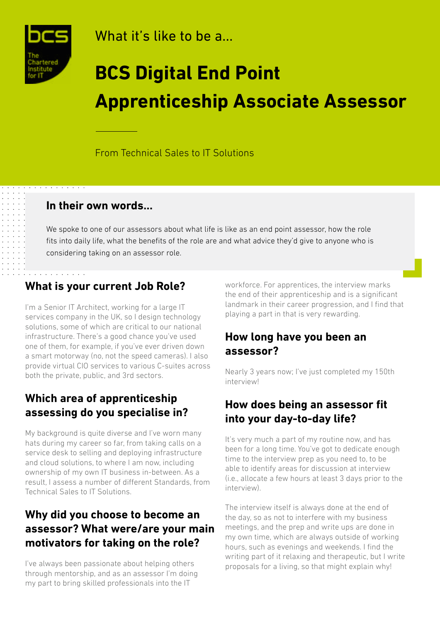

What it's like to be a...

# **BCS Digital End Point Apprenticeship Associate Assessor**

From Technical Sales to IT Solutions

#### **In their own words...**

We spoke to one of our assessors about what life is like as an end point assessor, how the role fits into daily life, what the benefits of the role are and what advice they'd give to anyone who is considering taking on an assessor role.

## **What is your current Job Role?**

I'm a Senior IT Architect, working for a large IT services company in the UK, so I design technology solutions, some of which are critical to our national infrastructure. There's a good chance you've used one of them, for example, if you've ever driven down a smart motorway (no, not the speed cameras). I also provide virtual CIO services to various C-suites across both the private, public, and 3rd sectors.

#### **Which area of apprenticeship assessing do you specialise in?**

My background is quite diverse and I've worn many hats during my career so far, from taking calls on a service desk to selling and deploying infrastructure and cloud solutions, to where I am now, including ownership of my own IT business in-between. As a result, I assess a number of different Standards, from Technical Sales to IT Solutions.

### **Why did you choose to become an assessor? What were/are your main motivators for taking on the role?**

I've always been passionate about helping others through mentorship, and as an assessor I'm doing my part to bring skilled professionals into the IT

workforce. For apprentices, the interview marks the end of their apprenticeship and is a significant landmark in their career progression, and I find that playing a part in that is very rewarding.

#### **How long have you been an assessor?**

Nearly 3 years now; I've just completed my 150th interview!

#### **How does being an assessor fit into your day-to-day life?**

It's very much a part of my routine now, and has been for a long time. You've got to dedicate enough time to the interview prep as you need to, to be able to identify areas for discussion at interview (i.e., allocate a few hours at least 3 days prior to the interview).

The interview itself is always done at the end of the day, so as not to interfere with my business meetings, and the prep and write ups are done in my own time, which are always outside of working hours, such as evenings and weekends. I find the writing part of it relaxing and therapeutic, but I write proposals for a living, so that might explain why!